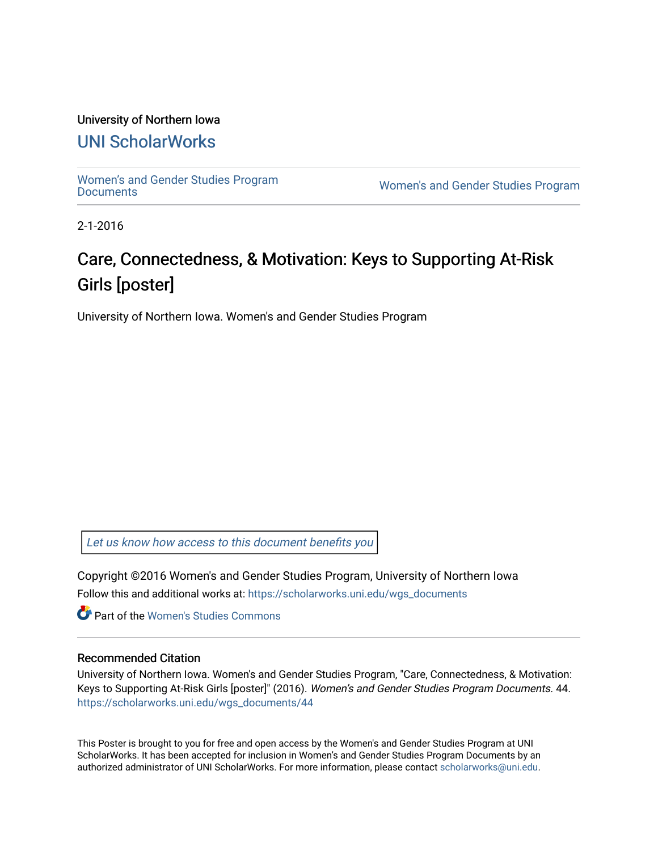### University of Northern Iowa

## [UNI ScholarWorks](https://scholarworks.uni.edu/)

[Women's and Gender Studies Program](https://scholarworks.uni.edu/wgs_documents)<br>Documents

Women's and Gender Studies Program

2-1-2016

## Care, Connectedness, & Motivation: Keys to Supporting At-Risk Girls [poster]

University of Northern Iowa. Women's and Gender Studies Program

[Let us know how access to this document benefits you](https://scholarworks.uni.edu/feedback_form.html) 

Copyright ©2016 Women's and Gender Studies Program, University of Northern Iowa Follow this and additional works at: [https://scholarworks.uni.edu/wgs\\_documents](https://scholarworks.uni.edu/wgs_documents?utm_source=scholarworks.uni.edu%2Fwgs_documents%2F44&utm_medium=PDF&utm_campaign=PDFCoverPages)

**C** Part of the Women's Studies Commons

#### Recommended Citation

University of Northern Iowa. Women's and Gender Studies Program, "Care, Connectedness, & Motivation: Keys to Supporting At-Risk Girls [poster]" (2016). Women's and Gender Studies Program Documents. 44. [https://scholarworks.uni.edu/wgs\\_documents/44](https://scholarworks.uni.edu/wgs_documents/44?utm_source=scholarworks.uni.edu%2Fwgs_documents%2F44&utm_medium=PDF&utm_campaign=PDFCoverPages) 

This Poster is brought to you for free and open access by the Women's and Gender Studies Program at UNI ScholarWorks. It has been accepted for inclusion in Women's and Gender Studies Program Documents by an authorized administrator of UNI ScholarWorks. For more information, please contact [scholarworks@uni.edu.](mailto:scholarworks@uni.edu)